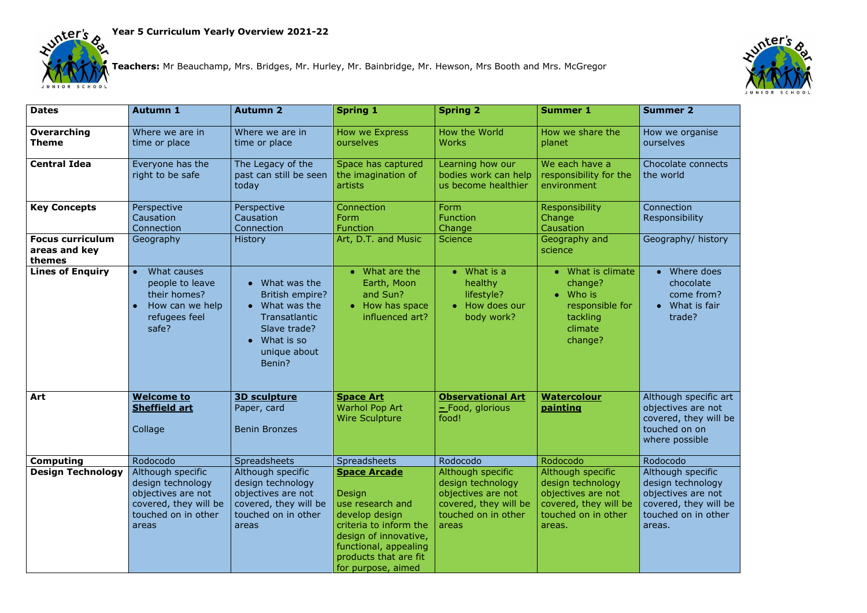



**Teachers:** Mr Beauchamp, Mrs. Bridges, Mr. Hurley, Mr. Bainbridge, Mr. Hewson, Mrs Booth and Mrs. McGregor

- Where does chocolate come from?
- What is fair trade?

hough specific art jectives are not vered, they will be  $\overrightarrow{t}$  on  $\overrightarrow{0}$ ere possible

hough specific sign technology jectives are not  $\frac{1}{2}$  vered, they will be uched on in other eas.

| <b>Dates</b>                                       | <b>Autumn 1</b>                                                                                                       | <b>Autumn 2</b>                                                                                                                                        | <b>Spring 1</b>                                                                                                                                                                                | <b>Spring 2</b>                                                                                                       | <b>Summer 1</b>                                                                                                        | <b>Summer 2</b>                                                                   |
|----------------------------------------------------|-----------------------------------------------------------------------------------------------------------------------|--------------------------------------------------------------------------------------------------------------------------------------------------------|------------------------------------------------------------------------------------------------------------------------------------------------------------------------------------------------|-----------------------------------------------------------------------------------------------------------------------|------------------------------------------------------------------------------------------------------------------------|-----------------------------------------------------------------------------------|
| Overarching<br><b>Theme</b>                        | Where we are in<br>time or place                                                                                      | Where we are in<br>time or place                                                                                                                       | How we Express<br>ourselves                                                                                                                                                                    | How the World<br><b>Works</b>                                                                                         | How we share the<br>planet                                                                                             | How we ord<br>ourselves                                                           |
| <b>Central Idea</b>                                | Everyone has the<br>right to be safe                                                                                  | The Legacy of the<br>past can still be seen<br>today                                                                                                   | Space has captured<br>the imagination of<br>artists                                                                                                                                            | Learning how our<br>bodies work can help<br>us become healthier                                                       | We each have a<br>responsibility for the<br>environment                                                                | Chocolate o<br>the world                                                          |
| <b>Key Concepts</b>                                | Perspective<br>Causation<br>Connection                                                                                | Perspective<br>Causation<br>Connection                                                                                                                 | Connection<br>Form<br><b>Function</b>                                                                                                                                                          | Form<br><b>Function</b><br>Change                                                                                     | <b>Responsibility</b><br>Change<br>Causation                                                                           | Connection<br>Responsibil                                                         |
| <b>Focus curriculum</b><br>areas and key<br>themes | Geography                                                                                                             | <b>History</b>                                                                                                                                         | Art, D.T. and Music                                                                                                                                                                            | <b>Science</b>                                                                                                        | Geography and<br>science                                                                                               | Geography                                                                         |
| <b>Lines of Enquiry</b>                            | What causes<br>$\bullet$<br>people to leave<br>their homes?<br>How can we help<br>refugees feel<br>safe?              | What was the<br>British empire?<br>$\bullet$ What was the<br><b>Transatlantic</b><br>Slave trade?<br>What is so<br>$\bullet$<br>unique about<br>Benin? | What are the<br>$\bullet$<br>Earth, Moon<br>and Sun?<br>How has space<br>$\bullet$<br>influenced art?                                                                                          | $\bullet$ What is a<br>healthy<br>lifestyle?<br>• How does our<br>body work?                                          | What is climate<br>change?<br>Who is<br>responsible for<br>tackling<br>climate<br>change?                              | Wher<br>$\bullet$<br>chocc<br>come<br>What<br>trade                               |
| Art                                                | <b>Welcome to</b><br><b>Sheffield art</b><br>Collage                                                                  | <b>3D sculpture</b><br>Paper, card<br><b>Benin Bronzes</b>                                                                                             | <b>Space Art</b><br><b>Warhol Pop Art</b><br><b>Wire Sculpture</b>                                                                                                                             | <b>Observational Art</b><br>$\equiv$ Food, glorious<br>food!                                                          | <b>Watercolour</b><br><b>painting</b>                                                                                  | Although sp<br>objectives a<br>covered, th<br>touched on<br>where poss            |
| <b>Computing</b>                                   | Rodocodo                                                                                                              | <b>Spreadsheets</b>                                                                                                                                    | <b>Spreadsheets</b>                                                                                                                                                                            | Rodocodo                                                                                                              | Rodocodo                                                                                                               | Rodocodo                                                                          |
| <b>Design Technology</b>                           | Although specific<br>design technology<br>objectives are not<br>covered, they will be<br>touched on in other<br>areas | Although specific<br>design technology<br>objectives are not<br>covered, they will be<br>touched on in other<br>areas                                  | <b>Space Arcade</b><br>Design<br>use research and<br>develop design<br>criteria to inform the<br>design of innovative,<br>functional, appealing<br>products that are fit<br>for purpose, aimed | Although specific<br>design technology<br>objectives are not<br>covered, they will be<br>touched on in other<br>areas | Although specific<br>design technology<br>objectives are not<br>covered, they will be<br>touched on in other<br>areas. | Although sp<br>design tech<br>objectives a<br>covered, th<br>touched on<br>areas. |



w we organise rselves

ocolate connects the world

nnection sponsibility

eography/ history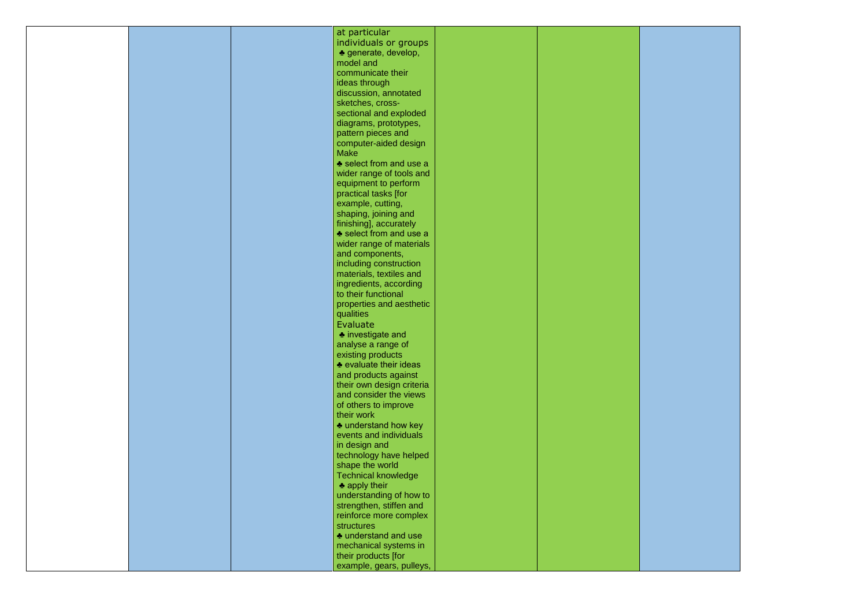|  | at particular               |  |
|--|-----------------------------|--|
|  | individuals or groups       |  |
|  | ♣ generate, develop,        |  |
|  |                             |  |
|  | model and                   |  |
|  | communicate their           |  |
|  | ideas through               |  |
|  | discussion, annotated       |  |
|  |                             |  |
|  | sketches, cross-            |  |
|  | sectional and exploded      |  |
|  | diagrams, prototypes,       |  |
|  | pattern pieces and          |  |
|  | computer-aided design       |  |
|  |                             |  |
|  | <b>Make</b>                 |  |
|  | ♣ select from and use a     |  |
|  | wider range of tools and    |  |
|  | equipment to perform        |  |
|  | practical tasks [for        |  |
|  |                             |  |
|  | example, cutting,           |  |
|  | shaping, joining and        |  |
|  | finishing], accurately      |  |
|  | ♣ select from and use a     |  |
|  | wider range of materials    |  |
|  | and components,             |  |
|  |                             |  |
|  | including construction      |  |
|  | materials, textiles and     |  |
|  | ingredients, according      |  |
|  | to their functional         |  |
|  | properties and aesthetic    |  |
|  | qualities                   |  |
|  |                             |  |
|  | Evaluate                    |  |
|  | <b>◆</b> investigate and    |  |
|  | analyse a range of          |  |
|  | existing products           |  |
|  | ♣ evaluate their ideas      |  |
|  |                             |  |
|  | and products against        |  |
|  | their own design criteria   |  |
|  | and consider the views      |  |
|  | of others to improve        |  |
|  | their work                  |  |
|  | <b>◆ understand how key</b> |  |
|  | events and individuals      |  |
|  |                             |  |
|  | in design and               |  |
|  | technology have helped      |  |
|  | shape the world             |  |
|  | <b>Technical knowledge</b>  |  |
|  | $\triangle$ apply their     |  |
|  |                             |  |
|  | understanding of how to     |  |
|  | strengthen, stiffen and     |  |
|  | reinforce more complex      |  |
|  | structures                  |  |
|  | ♣ understand and use        |  |
|  |                             |  |
|  | mechanical systems in       |  |
|  | their products [for         |  |
|  | example, gears, pulleys,    |  |
|  |                             |  |

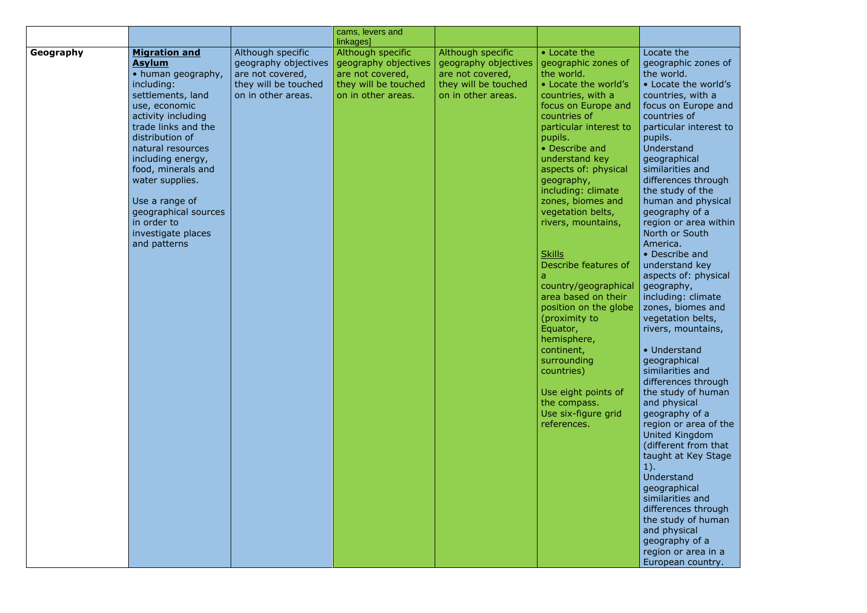|           |                                                                                                                                                                                                                                                                                                                                                                   |                                                                                                             | cams, levers and<br>linkages]                                                                               |                                                                                                             |                                                                                                                                                                                                                                                                                                                                                                                                                                                                                                                                                                                                                                 |                                                                                                                                                                                                                                                                                                                                                                                                        |
|-----------|-------------------------------------------------------------------------------------------------------------------------------------------------------------------------------------------------------------------------------------------------------------------------------------------------------------------------------------------------------------------|-------------------------------------------------------------------------------------------------------------|-------------------------------------------------------------------------------------------------------------|-------------------------------------------------------------------------------------------------------------|---------------------------------------------------------------------------------------------------------------------------------------------------------------------------------------------------------------------------------------------------------------------------------------------------------------------------------------------------------------------------------------------------------------------------------------------------------------------------------------------------------------------------------------------------------------------------------------------------------------------------------|--------------------------------------------------------------------------------------------------------------------------------------------------------------------------------------------------------------------------------------------------------------------------------------------------------------------------------------------------------------------------------------------------------|
| Geography | <b>Migration and</b><br><b>Asylum</b><br>• human geography,<br>including:<br>settlements, land<br>use, economic<br>activity including<br>trade links and the<br>distribution of<br>natural resources<br>including energy,<br>food, minerals and<br>water supplies.<br>Use a range of<br>geographical sources<br>in order to<br>investigate places<br>and patterns | Although specific<br>geography objectives<br>are not covered,<br>they will be touched<br>on in other areas. | Although specific<br>geography objectives<br>are not covered,<br>they will be touched<br>on in other areas. | Although specific<br>geography objectives<br>are not covered,<br>they will be touched<br>on in other areas. | • Locate the<br>geographic zones of<br>the world.<br>• Locate the world's<br>countries, with a<br>focus on Europe and<br>countries of<br>particular interest to<br>pupils.<br>• Describe and<br>understand key<br>aspects of: physical<br>geography,<br>including: climate<br>zones, biomes and<br>vegetation belts,<br>rivers, mountains,<br><b>Skills</b><br>Describe features of<br>country/geographical<br>area based on their<br>position on the globe<br>(proximity to<br>Equator,<br>hemisphere,<br>continent,<br>surrounding<br>countries)<br>Use eight points of<br>the compass.<br>Use six-figure grid<br>references. | Loc<br>geo<br>the<br>$\bullet$ L<br>COL<br>foc<br>COL<br>par<br>pu<br>Un <sub>0</sub><br>ged<br>sim<br>diff<br>the<br>hui<br>ged<br>reg<br>No<br>Am<br>$\bullet$ D<br><b>und</b><br>asp<br>geo<br>inc<br>zor<br>veg<br>riv<br>$\bullet$ U<br>ged<br>sim<br>diff<br>the<br>and<br>ged<br>reg<br>Uni<br>(di<br>tau<br>$1$ ).<br>Un <sub>0</sub><br>geo<br>sim<br>diff<br>the<br>and<br>ged<br>reg<br>Eur |

cate the ographic zones of  $\overline{\text{word}}$ . ocate the world's untries, with a cus on Europe and untries of rticular interest to pils. derstand ographical nilarities and ferences through e study of the man and physical ography of a gion or area within rth or South nerica. bescribe and derstand key pects of: physical .<br>ography, cluding: climate nes, biomes and getation belts, ers, mountains, **Jnderstand** ographical nilarities and ferences through  $t$  study of human d physical ography of a gion or area of the **united Kingdom** ifferent from that ught at Key Stage derstand ographical nilarities and ferences through  $\frac{1}{2}$  study of human  $d$  physical ography of a

gion or area in a ropean country.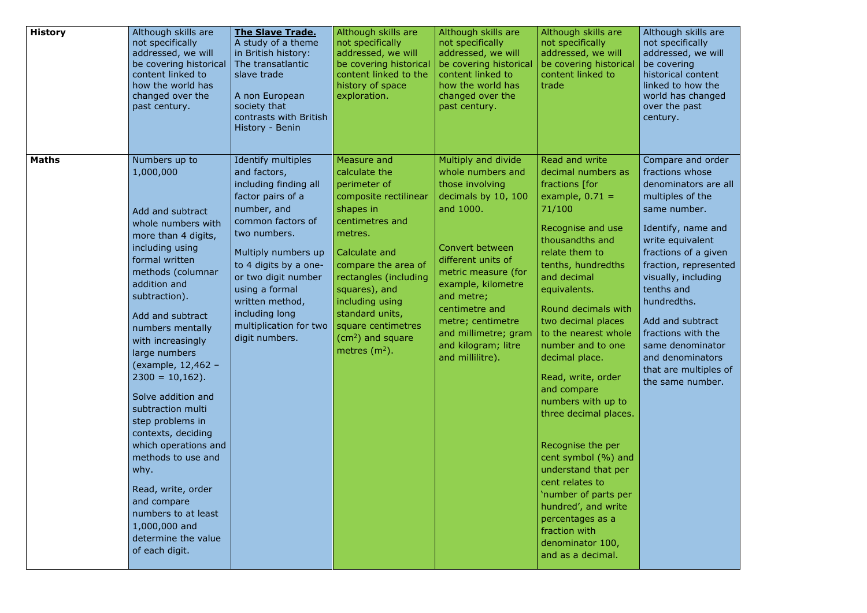| <b>History</b> | Although skills are<br>not specifically<br>addressed, we will<br>be covering historical<br>content linked to<br>how the world has<br>changed over the<br>past century.                                                                                                                                                                                                                                                                                                                                                                                                           | <b>The Slave Trade.</b><br>A study of a theme<br>in British history:<br>The transatlantic<br>slave trade<br>A non European<br>society that<br>contrasts with British<br>History - Benin                                                                                                                        | Although skills are<br>not specifically<br>addressed, we will<br>be covering historical<br>content linked to the<br>history of space<br>exploration.                                                                                                                                                               | Although skills are<br>not specifically<br>addressed, we will<br>be covering historical<br>content linked to<br>how the world has<br>changed over the<br>past century.                                                                                                                                        | Although skills are<br>not specifically<br>addressed, we will<br>be covering historical<br>content linked to<br>trade                                                                                                                                                                                                                                                                                                                                                                                                                                                                                                   | Alt<br>not<br>ado<br>be<br>his<br>link<br><b>WO</b><br><b>OV6</b><br>cer                                                 |
|----------------|----------------------------------------------------------------------------------------------------------------------------------------------------------------------------------------------------------------------------------------------------------------------------------------------------------------------------------------------------------------------------------------------------------------------------------------------------------------------------------------------------------------------------------------------------------------------------------|----------------------------------------------------------------------------------------------------------------------------------------------------------------------------------------------------------------------------------------------------------------------------------------------------------------|--------------------------------------------------------------------------------------------------------------------------------------------------------------------------------------------------------------------------------------------------------------------------------------------------------------------|---------------------------------------------------------------------------------------------------------------------------------------------------------------------------------------------------------------------------------------------------------------------------------------------------------------|-------------------------------------------------------------------------------------------------------------------------------------------------------------------------------------------------------------------------------------------------------------------------------------------------------------------------------------------------------------------------------------------------------------------------------------------------------------------------------------------------------------------------------------------------------------------------------------------------------------------------|--------------------------------------------------------------------------------------------------------------------------|
| <b>Maths</b>   | Numbers up to<br>1,000,000<br>Add and subtract<br>whole numbers with<br>more than 4 digits,<br>including using<br>formal written<br>methods (columnar<br>addition and<br>subtraction).<br>Add and subtract<br>numbers mentally<br>with increasingly<br>large numbers<br>(example, 12,462 -<br>$2300 = 10,162$ .<br>Solve addition and<br>subtraction multi<br>step problems in<br>contexts, deciding<br>which operations and<br>methods to use and<br>why.<br>Read, write, order<br>and compare<br>numbers to at least<br>1,000,000 and<br>determine the value<br>of each digit. | Identify multiples<br>and factors,<br>including finding all<br>factor pairs of a<br>number, and<br>common factors of<br>two numbers.<br>Multiply numbers up<br>to 4 digits by a one-<br>or two digit number<br>using a formal<br>written method,<br>including long<br>multiplication for two<br>digit numbers. | Measure and<br>calculate the<br>perimeter of<br>composite rectilinear<br>shapes in<br>centimetres and<br>metres.<br>Calculate and<br>compare the area of<br>rectangles (including<br>squares), and<br>including using<br>standard units,<br>square centimetres<br>(cm <sup>2</sup> ) and square<br>metres $(m2)$ . | Multiply and divide<br>whole numbers and<br>those involving<br>decimals by 10, 100<br>and 1000.<br>Convert between<br>different units of<br>metric measure (for<br>example, kilometre<br>and metre;<br>centimetre and<br>metre; centimetre<br>and millimetre; gram<br>and kilogram; litre<br>and millilitre). | Read and write<br>decimal numbers as<br>fractions [for<br>example, $0.71 =$<br>71/100<br>Recognise and use<br>thousandths and<br>relate them to<br>tenths, hundredths<br>and decimal<br>equivalents.<br>Round decimals with<br>two decimal places<br>to the nearest whole<br>number and to one<br>decimal place.<br>Read, write, order<br>and compare<br>numbers with up to<br>three decimal places.<br>Recognise the per<br>cent symbol (%) and<br>understand that per<br>cent relates to<br>'number of parts per<br>hundred', and write<br>percentages as a<br>fraction with<br>denominator 100,<br>and as a decimal. | Col<br>fra<br>der<br>mu<br>sar<br>Ide<br>wri<br>fra<br>fra<br>vis<br>ten<br>hui<br>Ad<br>fra<br>sar<br>and<br>tha<br>the |

hough skills are  $t$  specifically addressed, we will be covering historical content ked to how the orld has changed er the past  $ntury.$ 

> mpare and order ictions whose nominators are all ultiples of the me number.

entify, name and ite equivalent actions of a given  $\left.$ iction, represented $\,\right|$ sually, including nths and ndredths.

d and subtract ictions with the me denominator d denominators at are multiples of same number.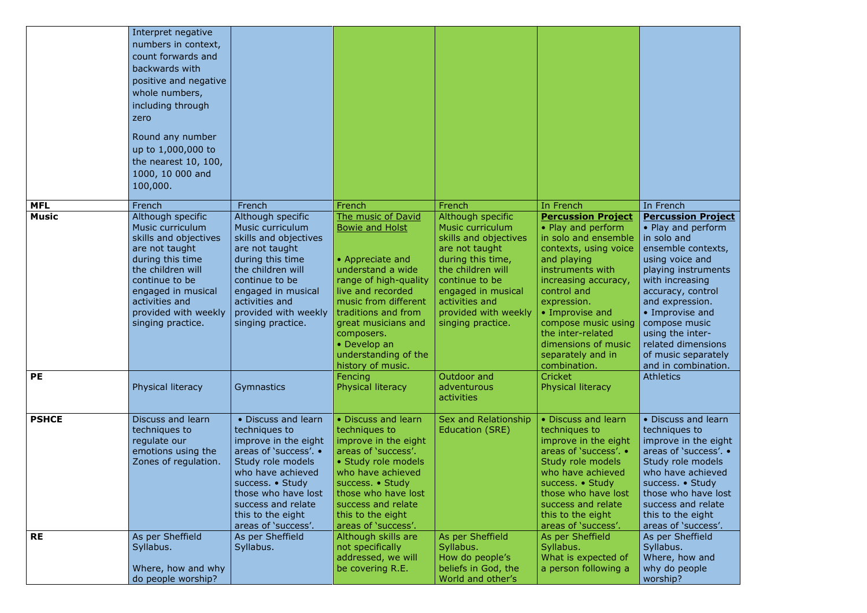Discuss and learn chniques to improve in the eight

areas of 'success'. • Study role models who have achieved ccess. • Study ose who have lost ccess and relate s to the eight eas of 'success'. per Sheffield llabus. here, how and y do people  $v$ rship?

|              | Interpret negative<br>numbers in context,<br>count forwards and<br>backwards with<br>positive and negative<br>whole numbers,<br>including through<br>zero<br>Round any number<br>up to 1,000,000 to<br>the nearest 10, 100,<br>1000, 10 000 and<br>100,000. |                                                                                                                                                                                                                                              |                                                                                                                                                                                                                                                                                      |                                                                                                                                                                                                                                   |                                                                                                                                                                                                                                                                                                                      |                                                                                                                                                                                                          |
|--------------|-------------------------------------------------------------------------------------------------------------------------------------------------------------------------------------------------------------------------------------------------------------|----------------------------------------------------------------------------------------------------------------------------------------------------------------------------------------------------------------------------------------------|--------------------------------------------------------------------------------------------------------------------------------------------------------------------------------------------------------------------------------------------------------------------------------------|-----------------------------------------------------------------------------------------------------------------------------------------------------------------------------------------------------------------------------------|----------------------------------------------------------------------------------------------------------------------------------------------------------------------------------------------------------------------------------------------------------------------------------------------------------------------|----------------------------------------------------------------------------------------------------------------------------------------------------------------------------------------------------------|
| <b>MFL</b>   | French                                                                                                                                                                                                                                                      | French                                                                                                                                                                                                                                       | French                                                                                                                                                                                                                                                                               | French                                                                                                                                                                                                                            | In French                                                                                                                                                                                                                                                                                                            | In French                                                                                                                                                                                                |
| <b>Music</b> | Although specific<br>Music curriculum<br>skills and objectives<br>are not taught<br>during this time<br>the children will<br>continue to be<br>engaged in musical<br>activities and<br>provided with weekly<br>singing practice.                            | Although specific<br>Music curriculum<br>skills and objectives<br>are not taught<br>during this time<br>the children will<br>continue to be<br>engaged in musical<br>activities and<br>provided with weekly<br>singing practice.             | The music of David<br><b>Bowie and Holst</b><br>• Appreciate and<br>understand a wide<br>range of high-quality<br>live and recorded<br>music from different<br>traditions and from<br>great musicians and<br>composers.<br>• Develop an<br>understanding of the<br>history of music. | Although specific<br>Music curriculum<br>skills and objectives<br>are not taught<br>during this time,<br>the children will<br>continue to be<br>engaged in musical<br>activities and<br>provided with weekly<br>singing practice. | <b>Percussion Project</b><br>• Play and perform<br>in solo and ensemble<br>contexts, using voice<br>and playing<br>instruments with<br>increasing accuracy,<br>control and<br>expression.<br>• Improvise and<br>compose music using<br>the inter-related<br>dimensions of music<br>separately and in<br>combination. | <b>Percussi</b><br>• Play and<br>in solo an<br>ensemble<br>using void<br>playing ir<br>with incre<br>accuracy,<br>and expre<br>• Improvi<br>compose<br>using the<br>related di<br>of music<br>and in cor |
| <b>PE</b>    | Physical literacy                                                                                                                                                                                                                                           | Gymnastics                                                                                                                                                                                                                                   | Fencing<br>Physical literacy                                                                                                                                                                                                                                                         | Outdoor and<br>adventurous<br>activities                                                                                                                                                                                          | <b>Cricket</b><br>Physical literacy                                                                                                                                                                                                                                                                                  | <b>Athletics</b>                                                                                                                                                                                         |
| <b>PSHCE</b> | Discuss and learn<br>techniques to<br>regulate our<br>emotions using the<br>Zones of regulation.                                                                                                                                                            | • Discuss and learn<br>techniques to<br>improve in the eight<br>areas of 'success'. •<br>Study role models<br>who have achieved<br>success. • Study<br>those who have lost<br>success and relate<br>this to the eight<br>areas of 'success'. | • Discuss and learn<br>techniques to<br>improve in the eight<br>areas of 'success'.<br>• Study role models<br>who have achieved<br>success. • Study<br>those who have lost<br>success and relate<br>this to the eight<br>areas of 'success'.                                         | Sex and Relationship<br>Education (SRE)                                                                                                                                                                                           | • Discuss and learn<br>techniques to<br>improve in the eight<br>areas of 'success'. •<br>Study role models<br>who have achieved<br>success. • Study<br>those who have lost<br>success and relate<br>this to the eight<br>areas of 'success'.                                                                         | • Discuss<br>technique<br>improve i<br>areas of '<br>Study rol<br>who have<br>success.<br>those whe<br>success a<br>this to the<br>areas of '                                                            |
| <b>RE</b>    | As per Sheffield<br>Syllabus.<br>Where, how and why<br>do people worship?                                                                                                                                                                                   | As per Sheffield<br>Syllabus.                                                                                                                                                                                                                | Although skills are<br>not specifically<br>addressed, we will<br>be covering R.E.                                                                                                                                                                                                    | As per Sheffield<br>Syllabus.<br>How do people's<br>beliefs in God, the<br>World and other's                                                                                                                                      | As per Sheffield<br>Syllabus.<br>What is expected of<br>a person following a                                                                                                                                                                                                                                         | As per Sh<br>Syllabus.<br>Where, h<br>why do p<br>worship?                                                                                                                                               |

## **Project**

Play and perform solo and  $\overline{a}$ semble contexts, ing voice and aying instruments th increasing curacy, control d expression. • Improvise and mpose music ing the interated dimensions music separately d in combination. hletics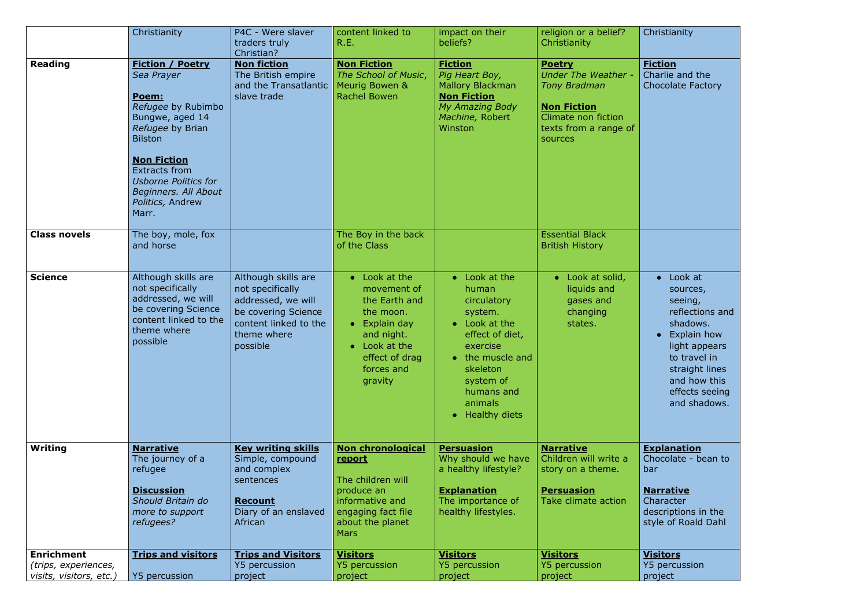| Christianity                                |
|---------------------------------------------|
| <b>Fiction</b>                              |
| Charlie and the<br><b>Chocolate Factory</b> |
|                                             |
|                                             |
|                                             |
|                                             |
|                                             |
|                                             |
|                                             |
|                                             |
|                                             |
| Look at<br>sources,                         |
| seeing,                                     |
| reflections and<br>shadows.                 |
| <b>Explain how</b>                          |
| light appears                               |
| to travel in                                |
| straight lines<br>and how this              |
| effects seeing                              |
| and shadows.                                |
|                                             |
| <b>Explanation</b>                          |
| Chocolate - bean to<br>bar                  |
| <u>Narrative</u>                            |
| Character<br>descriptions in the            |
| style of Roald Dahl                         |
| <u>Visitors</u>                             |
| Y5 percussion                               |
| project                                     |

|                                                                      | Christianity                                                                                                                                                                | P4C - Were slaver<br>traders truly<br>Christian?                                                                                         | content linked to<br>R.E.                                                                                                                                      | impact on their<br>beliefs?                                                                                                                                                                               | religion or a belief?<br>Christianity                                                                                                               | Chr                                                        |
|----------------------------------------------------------------------|-----------------------------------------------------------------------------------------------------------------------------------------------------------------------------|------------------------------------------------------------------------------------------------------------------------------------------|----------------------------------------------------------------------------------------------------------------------------------------------------------------|-----------------------------------------------------------------------------------------------------------------------------------------------------------------------------------------------------------|-----------------------------------------------------------------------------------------------------------------------------------------------------|------------------------------------------------------------|
| <b>Reading</b>                                                       | <b>Fiction / Poetry</b><br>Sea Prayer<br>Poem:<br>Refugee by Rubimbo<br>Bungwe, aged 14<br>Refugee by Brian<br><b>Bilston</b><br><b>Non Fiction</b><br><b>Extracts from</b> | <b>Non fiction</b><br>The British empire<br>and the Transatlantic<br>slave trade                                                         | <b>Non Fiction</b><br>The School of Music,<br>Meurig Bowen &<br><b>Rachel Bowen</b>                                                                            | <b>Fiction</b><br>Pig Heart Boy,<br><b>Mallory Blackman</b><br><b>Non Fiction</b><br>My Amazing Body<br>Machine, Robert<br>Winston                                                                        | <b>Poetry</b><br><b>Under The Weather -</b><br><b>Tony Bradman</b><br><b>Non Fiction</b><br>Climate non fiction<br>texts from a range of<br>sources | <u>Fic</u><br>Cha<br>Cho                                   |
|                                                                      | <b>Usborne Politics for</b><br>Beginners. All About<br>Politics, Andrew<br>Marr.                                                                                            |                                                                                                                                          |                                                                                                                                                                |                                                                                                                                                                                                           |                                                                                                                                                     |                                                            |
| <b>Class novels</b>                                                  | The boy, mole, fox<br>and horse                                                                                                                                             |                                                                                                                                          | The Boy in the back<br>of the Class                                                                                                                            |                                                                                                                                                                                                           | <b>Essential Black</b><br><b>British History</b>                                                                                                    |                                                            |
| <b>Science</b>                                                       | Although skills are<br>not specifically<br>addressed, we will<br>be covering Science<br>content linked to the<br>theme where<br>possible                                    | Although skills are<br>not specifically<br>addressed, we will<br>be covering Science<br>content linked to the<br>theme where<br>possible | • Look at the<br>movement of<br>the Earth and<br>the moon.<br>Explain day<br>$\bullet$<br>and night.<br>Look at the<br>effect of drag<br>forces and<br>gravity | • Look at the<br>human<br>circulatory<br>system.<br>Look at the<br>effect of diet,<br>exercise<br>• the muscle and<br>skeleton<br>system of<br>humans and<br>animals<br><b>Healthy diets</b><br>$\bullet$ | $\bullet$ Look at solid,<br>liquids and<br>gases and<br>changing<br>states.                                                                         |                                                            |
| <b>Writing</b>                                                       | <b>Narrative</b><br>The journey of a<br>refugee<br><b>Discussion</b><br>Should Britain do<br>more to support<br>refugees?                                                   | <b>Key writing skills</b><br>Simple, compound<br>and complex<br>sentences<br><b>Recount</b><br>Diary of an enslaved<br>African           | <b>Non chronological</b><br>report<br>The children will<br>produce an<br>informative and<br>engaging fact file<br>about the planet<br><b>Mars</b>              | <b>Persuasion</b><br>Why should we have<br>a healthy lifestyle?<br><b>Explanation</b><br>The importance of<br>healthy lifestyles.                                                                         | <b>Narrative</b><br>Children will write a<br>story on a theme.<br><b>Persuasion</b><br>Take climate action                                          | <u>Exi</u><br>Cho<br>bar<br><u>Na</u><br>Cha<br>des<br>sty |
| <b>Enrichment</b><br>(trips, experiences,<br>visits, visitors, etc.) | <b>Trips and visitors</b><br>Y5 percussion                                                                                                                                  | <b>Trips and Visitors</b><br><b>Y5 percussion</b><br>project                                                                             | <b>Visitors</b><br><b>Y5 percussion</b><br>project                                                                                                             | <u>Visitors</u><br><b>Y5 percussion</b><br>project                                                                                                                                                        | <b>Visitors</b><br><b>Y5 percussion</b><br>project                                                                                                  | <u>Vis</u><br>Y5<br>pro                                    |